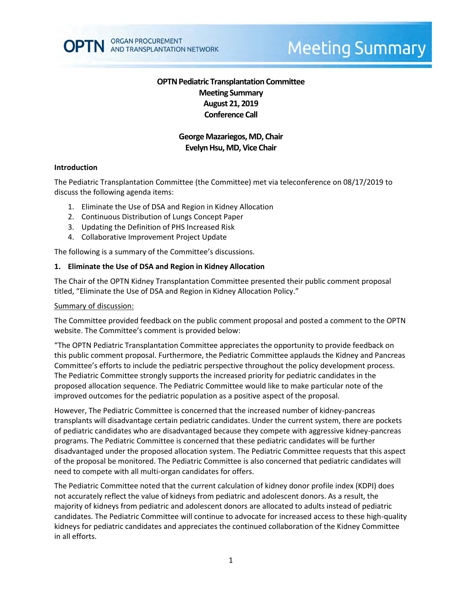

# **Meeting Summary**

# **OPTN Pediatric Transplantation Committee Meeting Summary August 21, 2019 Conference Call**

## **George Mazariegos, MD, Chair Evelyn Hsu, MD, Vice Chair**

#### **Introduction**

The Pediatric Transplantation Committee (the Committee) met via teleconference on 08/17/2019 to discuss the following agenda items:

- 1. Eliminate the Use of DSA and Region in Kidney Allocation
- 2. Continuous Distribution of Lungs Concept Paper
- 3. Updating the Definition of PHS Increased Risk
- 4. Collaborative Improvement Project Update

The following is a summary of the Committee's discussions.

#### **1. Eliminate the Use of DSA and Region in Kidney Allocation**

The Chair of the OPTN Kidney Transplantation Committee presented their public comment proposal titled, "Eliminate the Use of DSA and Region in Kidney Allocation Policy."

#### Summary of discussion:

The Committee provided feedback on the public comment proposal and posted a comment to the OPTN website. The Committee's comment is provided below:

"The OPTN Pediatric Transplantation Committee appreciates the opportunity to provide feedback on this public comment proposal. Furthermore, the Pediatric Committee applauds the Kidney and Pancreas Committee's efforts to include the pediatric perspective throughout the policy development process. The Pediatric Committee strongly supports the increased priority for pediatric candidates in the proposed allocation sequence. The Pediatric Committee would like to make particular note of the improved outcomes for the pediatric population as a positive aspect of the proposal.

However, The Pediatric Committee is concerned that the increased number of kidney-pancreas transplants will disadvantage certain pediatric candidates. Under the current system, there are pockets of pediatric candidates who are disadvantaged because they compete with aggressive kidney-pancreas programs. The Pediatric Committee is concerned that these pediatric candidates will be further disadvantaged under the proposed allocation system. The Pediatric Committee requests that this aspect of the proposal be monitored. The Pediatric Committee is also concerned that pediatric candidates will need to compete with all multi-organ candidates for offers.

The Pediatric Committee noted that the current calculation of kidney donor profile index (KDPI) does not accurately reflect the value of kidneys from pediatric and adolescent donors. As a result, the majority of kidneys from pediatric and adolescent donors are allocated to adults instead of pediatric candidates. The Pediatric Committee will continue to advocate for increased access to these high-quality kidneys for pediatric candidates and appreciates the continued collaboration of the Kidney Committee in all efforts.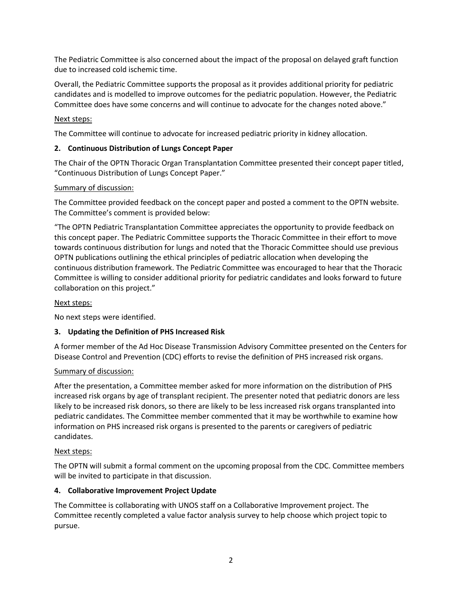The Pediatric Committee is also concerned about the impact of the proposal on delayed graft function due to increased cold ischemic time.

Overall, the Pediatric Committee supports the proposal as it provides additional priority for pediatric candidates and is modelled to improve outcomes for the pediatric population. However, the Pediatric Committee does have some concerns and will continue to advocate for the changes noted above."

### Next steps:

The Committee will continue to advocate for increased pediatric priority in kidney allocation.

## **2. Continuous Distribution of Lungs Concept Paper**

The Chair of the OPTN Thoracic Organ Transplantation Committee presented their concept paper titled, "Continuous Distribution of Lungs Concept Paper."

### Summary of discussion:

The Committee provided feedback on the concept paper and posted a comment to the OPTN website. The Committee's comment is provided below:

"The OPTN Pediatric Transplantation Committee appreciates the opportunity to provide feedback on this concept paper. The Pediatric Committee supports the Thoracic Committee in their effort to move towards continuous distribution for lungs and noted that the Thoracic Committee should use previous OPTN publications outlining the ethical principles of pediatric allocation when developing the continuous distribution framework. The Pediatric Committee was encouraged to hear that the Thoracic Committee is willing to consider additional priority for pediatric candidates and looks forward to future collaboration on this project."

## Next steps:

No next steps were identified.

# **3. Updating the Definition of PHS Increased Risk**

A former member of the Ad Hoc Disease Transmission Advisory Committee presented on the Centers for Disease Control and Prevention (CDC) efforts to revise the definition of PHS increased risk organs.

### Summary of discussion:

After the presentation, a Committee member asked for more information on the distribution of PHS increased risk organs by age of transplant recipient. The presenter noted that pediatric donors are less likely to be increased risk donors, so there are likely to be less increased risk organs transplanted into pediatric candidates. The Committee member commented that it may be worthwhile to examine how information on PHS increased risk organs is presented to the parents or caregivers of pediatric candidates.

### Next steps:

The OPTN will submit a formal comment on the upcoming proposal from the CDC. Committee members will be invited to participate in that discussion.

### **4. Collaborative Improvement Project Update**

The Committee is collaborating with UNOS staff on a Collaborative Improvement project. The Committee recently completed a value factor analysis survey to help choose which project topic to pursue.